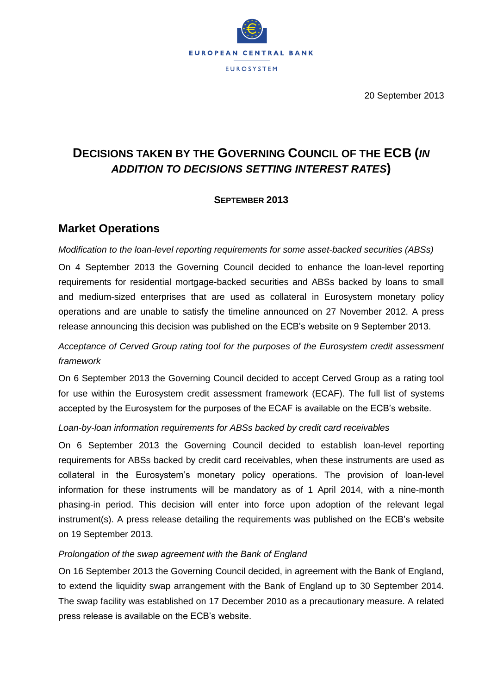

20 September 2013

# **DECISIONS TAKEN BY THE GOVERNING COUNCIL OF THE ECB (***IN ADDITION TO DECISIONS SETTING INTEREST RATES***)**

### **SEPTEMBER 2013**

## **Market Operations**

*Modification to the loan-level reporting requirements for some asset-backed securities (ABSs)*

On 4 September 2013 the Governing Council decided to enhance the loan-level reporting requirements for residential mortgage-backed securities and ABSs backed by loans to small and medium-sized enterprises that are used as collateral in Eurosystem monetary policy operations and are unable to satisfy the timeline announced on 27 November 2012. A press release announcing this decision was published on the ECB's website on 9 September 2013.

## *Acceptance of Cerved Group rating tool for the purposes of the Eurosystem credit assessment framework*

On 6 September 2013 the Governing Council decided to accept Cerved Group as a rating tool for use within the Eurosystem credit assessment framework (ECAF). The full list of systems accepted by the Eurosystem for the purposes of the ECAF is available on the ECB's website.

#### *Loan-by-loan information requirements for ABSs backed by credit card receivables*

On 6 September 2013 the Governing Council decided to establish loan-level reporting requirements for ABSs backed by credit card receivables, when these instruments are used as collateral in the Eurosystem's monetary policy operations. The provision of loan-level information for these instruments will be mandatory as of 1 April 2014, with a nine-month phasing-in period. This decision will enter into force upon adoption of the relevant legal instrument(s). A press release detailing the requirements was published on the ECB's website on 19 September 2013.

#### *Prolongation of the swap agreement with the Bank of England*

On 16 September 2013 the Governing Council decided, in agreement with the Bank of England, to extend the liquidity swap arrangement with the Bank of England up to 30 September 2014. The swap facility was established on 17 December 2010 as a precautionary measure. A related press release is available on the ECB's website.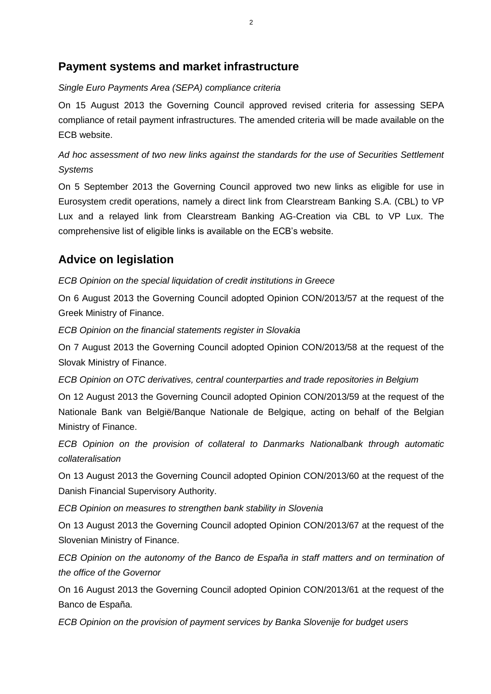## **Payment systems and market infrastructure**

#### *Single Euro Payments Area (SEPA) compliance criteria*

On 15 August 2013 the Governing Council approved revised criteria for assessing SEPA compliance of retail payment infrastructures. The amended criteria will be made available on the ECB website.

## *Ad hoc assessment of two new links against the standards for the use of Securities Settlement Systems*

On 5 September 2013 the Governing Council approved two new links as eligible for use in Eurosystem credit operations, namely a direct link from Clearstream Banking S.A. (CBL) to VP Lux and a relayed link from Clearstream Banking AG-Creation via CBL to VP Lux. The comprehensive list of eligible links is available on the ECB's website.

## **Advice on legislation**

*ECB Opinion on the special liquidation of credit institutions in Greece*

On 6 August 2013 the Governing Council adopted Opinion CON/2013/57 at the request of the Greek Ministry of Finance.

*ECB Opinion on the financial statements register in Slovakia*

On 7 August 2013 the Governing Council adopted Opinion CON/2013/58 at the request of the Slovak Ministry of Finance.

*ECB Opinion on OTC derivatives, central counterparties and trade repositories in Belgium*

On 12 August 2013 the Governing Council adopted Opinion CON/2013/59 at the request of the Nationale Bank van België/Banque Nationale de Belgique, acting on behalf of the Belgian Ministry of Finance.

*ECB Opinion on the provision of collateral to Danmarks Nationalbank through automatic collateralisation*

On 13 August 2013 the Governing Council adopted Opinion CON/2013/60 at the request of the Danish Financial Supervisory Authority.

*ECB Opinion on measures to strengthen bank stability in Slovenia*

On 13 August 2013 the Governing Council adopted Opinion CON/2013/67 at the request of the Slovenian Ministry of Finance.

*ECB Opinion on the autonomy of the Banco de España in staff matters and on termination of the office of the Governor*

On 16 August 2013 the Governing Council adopted Opinion CON/2013/61 at the request of the Banco de España.

*ECB Opinion on the provision of payment services by Banka Slovenije for budget users*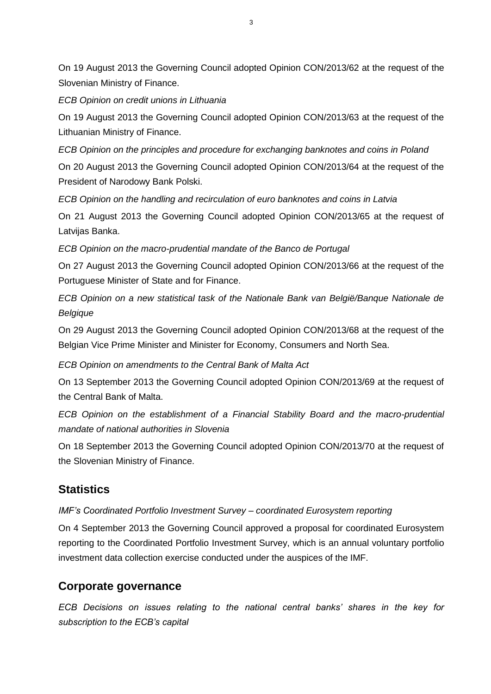On 19 August 2013 the Governing Council adopted Opinion CON/2013/62 at the request of the Slovenian Ministry of Finance.

*ECB Opinion on credit unions in Lithuania*

On 19 August 2013 the Governing Council adopted Opinion CON/2013/63 at the request of the Lithuanian Ministry of Finance.

*ECB Opinion on the principles and procedure for exchanging banknotes and coins in Poland*

On 20 August 2013 the Governing Council adopted Opinion CON/2013/64 at the request of the President of Narodowy Bank Polski.

*ECB Opinion on the handling and recirculation of euro banknotes and coins in Latvia*

On 21 August 2013 the Governing Council adopted Opinion CON/2013/65 at the request of Latvijas Banka.

*ECB Opinion on the macro-prudential mandate of the Banco de Portugal*

On 27 August 2013 the Governing Council adopted Opinion CON/2013/66 at the request of the Portuguese Minister of State and for Finance.

*ECB Opinion on a new statistical task of the Nationale Bank van België/Banque Nationale de Belgique*

On 29 August 2013 the Governing Council adopted Opinion CON/2013/68 at the request of the Belgian Vice Prime Minister and Minister for Economy, Consumers and North Sea.

*ECB Opinion on amendments to the Central Bank of Malta Act*

On 13 September 2013 the Governing Council adopted Opinion CON/2013/69 at the request of the Central Bank of Malta.

*ECB Opinion on the establishment of a Financial Stability Board and the macro-prudential mandate of national authorities in Slovenia*

On 18 September 2013 the Governing Council adopted Opinion CON/2013/70 at the request of the Slovenian Ministry of Finance.

## **Statistics**

*IMF's Coordinated Portfolio Investment Survey – coordinated Eurosystem reporting*

On 4 September 2013 the Governing Council approved a proposal for coordinated Eurosystem reporting to the Coordinated Portfolio Investment Survey, which is an annual voluntary portfolio investment data collection exercise conducted under the auspices of the IMF.

## **Corporate governance**

*ECB Decisions on issues relating to the national central banks' shares in the key for subscription to the ECB's capital*